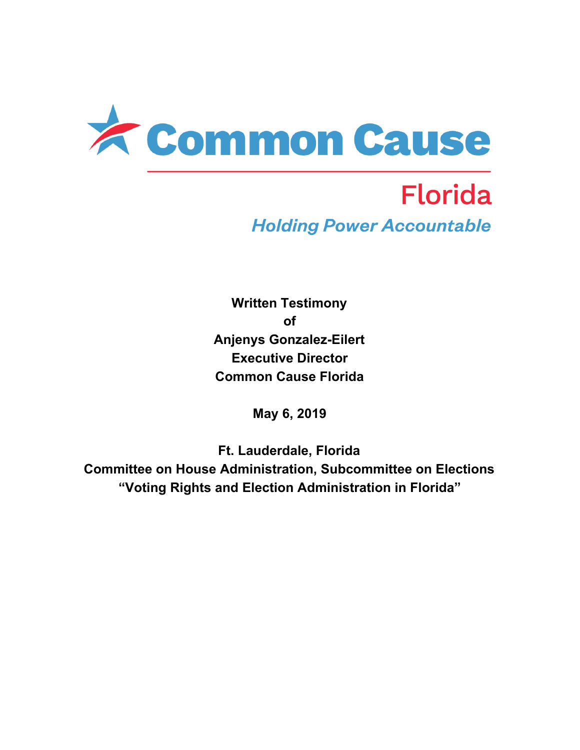

# **Florida Holding Power Accountable**

**Written Testimony of Anjenys Gonzalez-Eilert Executive Director Common Cause Florida**

**May 6, 2019**

**Ft. Lauderdale, Florida Committee on House Administration, Subcommittee on Elections "Voting Rights and Election Administration in Florida"**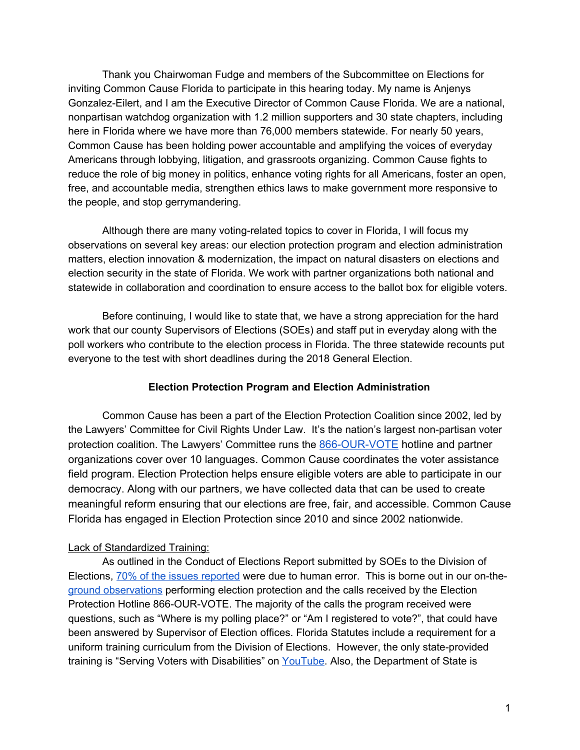Thank you Chairwoman Fudge and members of the Subcommittee on Elections for inviting Common Cause Florida to participate in this hearing today. My name is Anjenys Gonzalez-Eilert, and I am the Executive Director of Common Cause Florida. We are a national, nonpartisan watchdog organization with 1.2 million supporters and 30 state chapters, including here in Florida where we have more than 76,000 members statewide. For nearly 50 years, Common Cause has been holding power accountable and amplifying the voices of everyday Americans through lobbying, litigation, and grassroots organizing. Common Cause fights to reduce the role of big money in politics, enhance voting rights for all Americans, foster an open, free, and accountable media, strengthen ethics laws to make government more responsive to the people, and stop gerrymandering.

Although there are many voting-related topics to cover in Florida, I will focus my observations on several key areas: our election protection program and election administration matters, election innovation & modernization, the impact on natural disasters on elections and election security in the state of Florida. We work with partner organizations both national and statewide in collaboration and coordination to ensure access to the ballot box for eligible voters.

Before continuing, I would like to state that, we have a strong appreciation for the hard work that our county Supervisors of Elections (SOEs) and staff put in everyday along with the poll workers who contribute to the election process in Florida. The three statewide recounts put everyone to the test with short deadlines during the 2018 General Election.

## **Election Protection Program and Election Administration**

Common Cause has been a part of the Election Protection Coalition since 2002, led by the Lawyers' Committee for Civil Rights Under Law. It's the nation's largest non-partisan voter protection coalition. The Lawyers' Committee runs the [866-OUR-VOTE](https://866ourvote.org/) hotline and partner organizations cover over 10 languages. Common Cause coordinates the voter assistance field program. Election Protection helps ensure eligible voters are able to participate in our democracy. Along with our partners, we have collected data that can be used to create meaningful reform ensuring that our elections are free, fair, and accessible. Common Cause Florida has engaged in Election Protection since 2010 and since 2002 nationwide.

## Lack of Standardized Training:

As outlined in the Conduct of Elections Report submitted by SOEs to the Division of Elections, 70% of the issues [reported](https://www.myfloridaelections.com/portals/fsase/Documents/Conference%20Info/2018%20Mid-Winter%20Conference/Conduct%20of%20Elections%20Analysis.pdf) were due to human error. This is borne out in our on-theground [observations](https://866ourvote.org/wp-content/uploads/2019/01/Election-Protection-Preliminary-Report-on-the-2018-Midterm-Elections.pdf) performing election protection and the calls received by the Election Protection Hotline 866-OUR-VOTE. The majority of the calls the program received were questions, such as "Where is my polling place?" or "Am I registered to vote?", that could have been answered by Supervisor of Election offices. Florida Statutes include a requirement for a uniform training curriculum from the Division of Elections. However, the only state-provided training is "Serving Voters with Disabilities" on [YouTube.](https://www.youtube.com/watch?v=adgg5tR9aW0&t=4s) Also, the Department of State is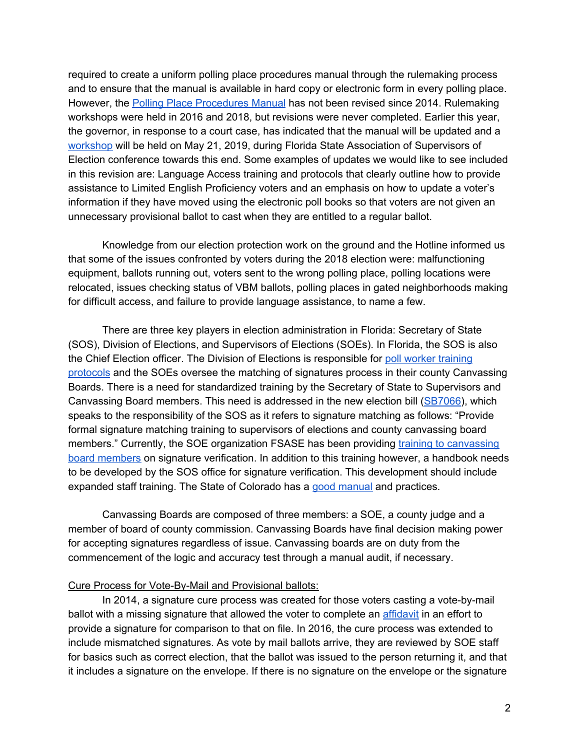required to create a uniform polling place procedures manual through the rulemaking process and to ensure that the manual is available in hard copy or electronic form in every polling place. However, the Polling Place [Procedures](https://www.flrules.org/gateway/ruleNo.asp?id=1S-2.034) Manual has not been revised since 2014. Rulemaking workshops were held in 2016 and 2018, but revisions were never completed. Earlier this year, the governor, in response to a court case, has indicated that the manual will be updated and a [workshop](https://www.flrules.org/Gateway/View_notice.asp?id=20964239) will be held on May 21, 2019, during Florida State Association of Supervisors of Election conference towards this end. Some examples of updates we would like to see included in this revision are: Language Access training and protocols that clearly outline how to provide assistance to Limited English Proficiency voters and an emphasis on how to update a voter's information if they have moved using the electronic poll books so that voters are not given an unnecessary provisional ballot to cast when they are entitled to a regular ballot.

Knowledge from our election protection work on the ground and the Hotline informed us that some of the issues confronted by voters during the 2018 election were: malfunctioning equipment, ballots running out, voters sent to the wrong polling place, polling locations were relocated, issues checking status of VBM ballots, polling places in gated neighborhoods making for difficult access, and failure to provide language assistance, to name a few.

There are three key players in election administration in Florida: Secretary of State (SOS), Division of Elections, and Supervisors of Elections (SOEs). In Florida, the SOS is also the Chief Election officer. The Division of Elections is responsible for poll worker [training](https://www.flsenate.gov/Laws/Statutes/2018/102.014) [protocols](https://www.flsenate.gov/Laws/Statutes/2018/102.014) and the SOEs oversee the matching of signatures process in their county Canvassing Boards. There is a need for standardized training by the Secretary of State to Supervisors and Canvassing Board members. This need is addressed in the new election bill ([SB7066\)](https://www.flsenate.gov/Session/Bill/2019/07066), which speaks to the responsibility of the SOS as it refers to signature matching as follows: "Provide formal signature matching training to supervisors of elections and county canvassing board members." Currently, the SOE organization FSASE has been providing training to [canvassing](https://www.myfloridaelections.com/FSASE-Member-Resources/Conference-and-Workshops-Presentations/FSASE-Conference-Presentations) board [members](https://www.myfloridaelections.com/FSASE-Member-Resources/Conference-and-Workshops-Presentations/FSASE-Conference-Presentations) on signature verification. In addition to this training however, a handbook needs to be developed by the SOS office for signature verification. This development should include expanded staff training. The State of Colorado has a good [manual](https://www.sos.state.co.us/pubs/elections/docs/SignatureVerificationGuide.pdf) and practices.

Canvassing Boards are composed of three members: a SOE, a county judge and a member of board of county commission. Canvassing Boards have final decision making power for accepting signatures regardless of issue. Canvassing boards are on duty from the commencement of the logic and accuracy test through a manual audit, if necessary.

#### Cure Process for Vote-By-Mail and Provisional ballots:

In 2014, a signature cure process was created for those voters casting a vote-by-mail ballot with a missing signature that allowed the voter to complete an *[affidavit](https://dos.myflorida.com/media/700479/dsde139.pdf)* in an effort to provide a signature for comparison to that on file. In 2016, the cure process was extended to include mismatched signatures. As vote by mail ballots arrive, they are reviewed by SOE staff for basics such as correct election, that the ballot was issued to the person returning it, and that it includes a signature on the envelope. If there is no signature on the envelope or the signature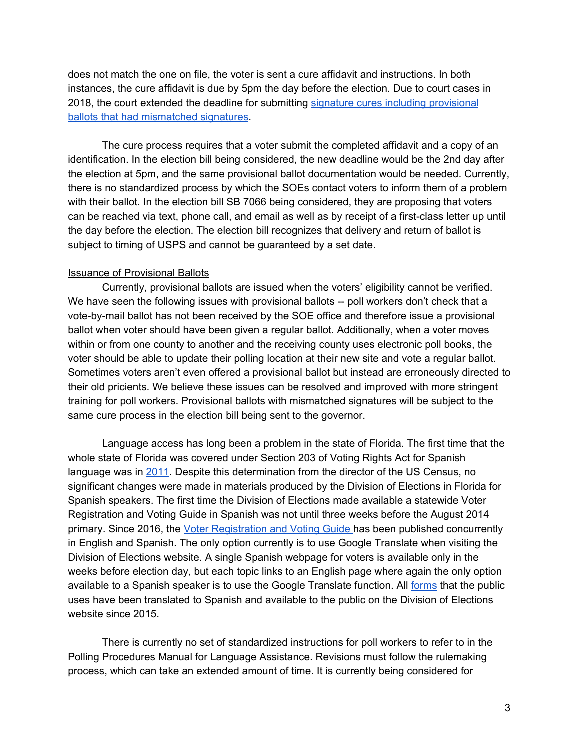does not match the one on file, the voter is sent a cure affidavit and instructions. In both instances, the cure affidavit is due by 5pm the day before the election. Due to court cases in 2018, the court extended the deadline for submitting signature cures including [provisional](https://dos.myflorida.com/media/700310/sos_directive_2018-05.pdf) ballots that had [mismatched](https://dos.myflorida.com/media/700310/sos_directive_2018-05.pdf) signatures.

The cure process requires that a voter submit the completed affidavit and a copy of an identification. In the election bill being considered, the new deadline would be the 2nd day after the election at 5pm, and the same provisional ballot documentation would be needed. Currently, there is no standardized process by which the SOEs contact voters to inform them of a problem with their ballot. In the election bill SB 7066 being considered, they are proposing that voters can be reached via text, phone call, and email as well as by receipt of a first-class letter up until the day before the election. The election bill recognizes that delivery and return of ballot is subject to timing of USPS and cannot be guaranteed by a set date.

#### Issuance of Provisional Ballots

Currently, provisional ballots are issued when the voters' eligibility cannot be verified. We have seen the following issues with provisional ballots -- poll workers don't check that a vote-by-mail ballot has not been received by the SOE office and therefore issue a provisional ballot when voter should have been given a regular ballot. Additionally, when a voter moves within or from one county to another and the receiving county uses electronic poll books, the voter should be able to update their polling location at their new site and vote a regular ballot. Sometimes voters aren't even offered a provisional ballot but instead are erroneously directed to their old pricients. We believe these issues can be resolved and improved with more stringent training for poll workers. Provisional ballots with mismatched signatures will be subject to the same cure process in the election bill being sent to the governor.

Language access has long been a problem in the state of Florida. The first time that the whole state of Florida was covered under Section 203 of Voting Rights Act for Spanish language was in [2011.](https://www.census.gov/programs-surveys/decennial-census/about/voting-rights/voting-rights-determination-file.2011.html) Despite this determination from the director of the US Census, no significant changes were made in materials produced by the Division of Elections in Florida for Spanish speakers. The first time the Division of Elections made available a statewide Voter Registration and Voting Guide in Spanish was not until three weeks before the August 2014 primary. Since 2016, the Voter [Registration](https://dos.myflorida.com/media/699225/voter-registration-guide-2016_spa.pdf) and Voting Guide has been published concurrently in English and Spanish. The only option currently is to use Google Translate when visiting the Division of Elections website. A single Spanish webpage for voters is available only in the weeks before election day, but each topic links to an English page where again the only option available to a Spanish speaker is to use the Google Translate function. All [forms](https://dos.myflorida.com/elections/forms-publications/forms/) that the public uses have been translated to Spanish and available to the public on the Division of Elections website since 2015.

There is currently no set of standardized instructions for poll workers to refer to in the Polling Procedures Manual for Language Assistance. Revisions must follow the rulemaking process, which can take an extended amount of time. It is currently being considered for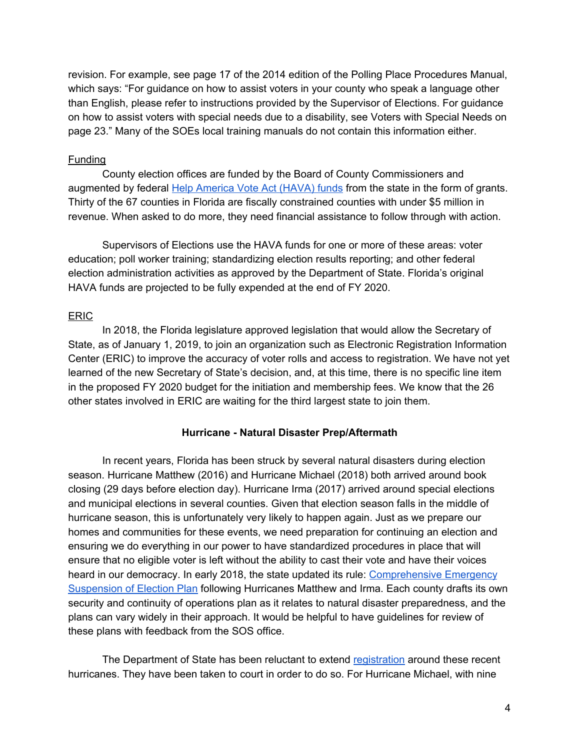revision. For example, see page 17 of the 2014 edition of the Polling Place Procedures Manual, which says: "For guidance on how to assist voters in your county who speak a language other than English, please refer to instructions provided by the Supervisor of Elections. For guidance on how to assist voters with special needs due to a disability, see Voters with Special Needs on page 23." Many of the SOEs local training manuals do not contain this information either.

## Funding

County election offices are funded by the Board of County Commissioners and augmented by federal Help [America](https://dos.myflorida.com/elections/laws-rules/help-america-vote-act/) Vote Act (HAVA) funds from the state in the form of grants. Thirty of the 67 counties in Florida are fiscally constrained counties with under \$5 million in revenue. When asked to do more, they need financial assistance to follow through with action.

Supervisors of Elections use the HAVA funds for one or more of these areas: voter education; poll worker training; standardizing election results reporting; and other federal election administration activities as approved by the Department of State. Florida's original HAVA funds are projected to be fully expended at the end of FY 2020.

## ERIC

In 2018, the Florida legislature approved legislation that would allow the Secretary of State, as of January 1, 2019, to join an organization such as Electronic Registration Information Center (ERIC) to improve the accuracy of voter rolls and access to registration. We have not yet learned of the new Secretary of State's decision, and, at this time, there is no specific line item in the proposed FY 2020 budget for the initiation and membership fees. We know that the 26 other states involved in ERIC are waiting for the third largest state to join them.

# **Hurricane - Natural Disaster Prep/Aftermath**

In recent years, Florida has been struck by several natural disasters during election season. Hurricane Matthew (2016) and Hurricane Michael (2018) both arrived around book closing (29 days before election day). Hurricane Irma (2017) arrived around special elections and municipal elections in several counties. Given that election season falls in the middle of hurricane season, this is unfortunately very likely to happen again. Just as we prepare our homes and communities for these events, we need preparation for continuing an election and ensuring we do everything in our power to have standardized procedures in place that will ensure that no eligible voter is left without the ability to cast their vote and have their voices heard in our democracy. In early 2018, the state updated its rule: [Comprehensive](https://www.flrules.org/gateway/ruleNo.asp?id=1S-9.005) Emergency [Suspension](https://www.flrules.org/gateway/ruleNo.asp?id=1S-9.005) of Election Plan following Hurricanes Matthew and Irma. Each county drafts its own security and continuity of operations plan as it relates to natural disaster preparedness, and the plans can vary widely in their approach. It would be helpful to have guidelines for review of these plans with feedback from the SOS office.

The Department of State has been reluctant to extend [registration](https://dos.myflorida.com/media/700131/sos_directive_2018-03.pdf) around these recent hurricanes. They have been taken to court in order to do so. For Hurricane Michael, with nine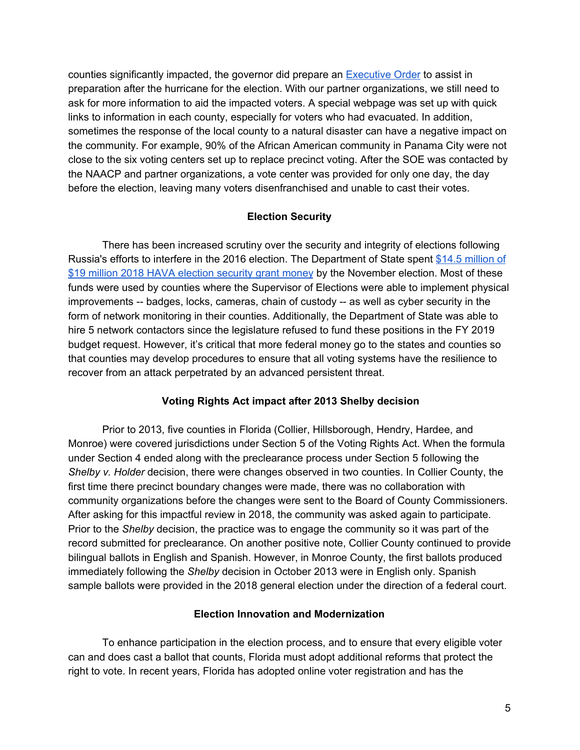counties significantly impacted, the governor did prepare an [Executive](https://dos.myflorida.com/media/700131/sos_directive_2018-03.pdf) Order to assist in preparation after the hurricane for the election. With our partner organizations, we still need to ask for more information to aid the impacted voters. A special webpage was set up with quick links to information in each county, especially for voters who had evacuated. In addition, sometimes the response of the local county to a natural disaster can have a negative impact on the community. For example, 90% of the African American community in Panama City were not close to the six voting centers set up to replace precinct voting. After the SOE was contacted by the NAACP and partner organizations, a vote center was provided for only one day, the day before the election, leaving many voters disenfranchised and unable to cast their votes.

## **Election Security**

There has been increased scrutiny over the security and integrity of elections following Russia's efforts to interfere in the 2016 election. The Department of State spent \$14.5 [million](https://www.eac.gov/havaffr/Florida2018ES_FFR.pdf) of \$19 million 2018 HAVA [election](https://www.eac.gov/havaffr/Florida2018ES_FFR.pdf) security grant money by the November election. Most of these funds were used by counties where the Supervisor of Elections were able to implement physical improvements -- badges, locks, cameras, chain of custody -- as well as cyber security in the form of network monitoring in their counties. Additionally, the Department of State was able to hire 5 network contactors since the legislature refused to fund these positions in the FY 2019 budget request. However, it's critical that more federal money go to the states and counties so that counties may develop procedures to ensure that all voting systems have the resilience to recover from an attack perpetrated by an advanced persistent threat.

## **Voting Rights Act impact after 2013 Shelby decision**

Prior to 2013, five counties in Florida (Collier, Hillsborough, Hendry, Hardee, and Monroe) were covered jurisdictions under Section 5 of the Voting Rights Act. When the formula under Section 4 ended along with the preclearance process under Section 5 following the *Shelby v. Holder* decision, there were changes observed in two counties. In Collier County, the first time there precinct boundary changes were made, there was no collaboration with community organizations before the changes were sent to the Board of County Commissioners. After asking for this impactful review in 2018, the community was asked again to participate. Prior to the *Shelby* decision, the practice was to engage the community so it was part of the record submitted for preclearance. On another positive note, Collier County continued to provide bilingual ballots in English and Spanish. However, in Monroe County, the first ballots produced immediately following the *Shelby* decision in October 2013 were in English only. Spanish sample ballots were provided in the 2018 general election under the direction of a federal court.

## **Election Innovation and Modernization**

To enhance participation in the election process, and to ensure that every eligible voter can and does cast a ballot that counts, Florida must adopt additional reforms that protect the right to vote. In recent years, Florida has adopted online voter registration and has the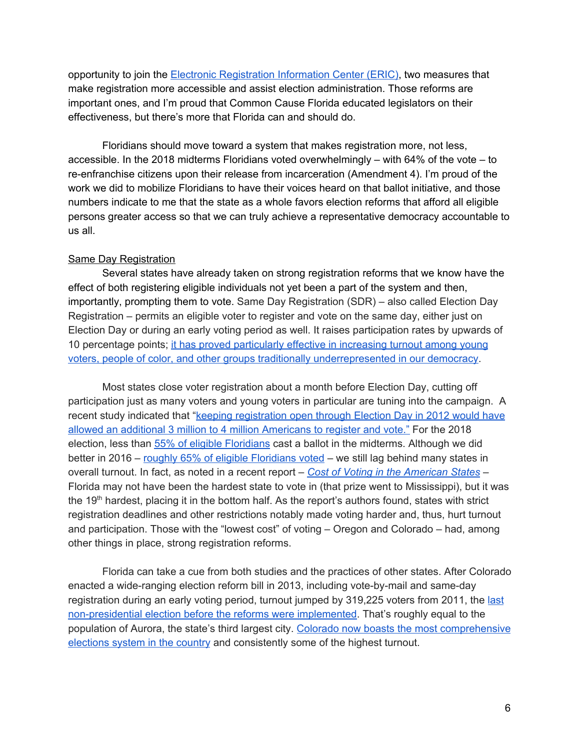opportunity to join the Electronic [Registration](https://ericstates.org/) Information Center (ERIC), two measures that make registration more accessible and assist election administration. Those reforms are important ones, and I'm proud that Common Cause Florida educated legislators on their effectiveness, but there's more that Florida can and should do.

Floridians should move toward a system that makes registration more, not less, accessible. In the 2018 midterms Floridians voted overwhelmingly – with 64% of the vote – to re-enfranchise citizens upon their release from incarceration (Amendment 4). I'm proud of the work we did to mobilize Floridians to have their voices heard on that ballot initiative, and those numbers indicate to me that the state as a whole favors election reforms that afford all eligible persons greater access so that we can truly achieve a representative democracy accountable to us all.

#### Same Day Registration

Several states have already taken on strong registration reforms that we know have the effect of both registering eligible individuals not yet been a part of the system and then, importantly, prompting them to vote. Same Day Registration (SDR) – also called Election Day Registration – permits an eligible voter to register and vote on the same day, either just on Election Day or during an early voting period as well. It raises participation rates by upwards of 10 percentage points; it has proved [particularly](http://www.demos.org/publication/what-same-day-registration-where-it-available) effective in increasing turnout among young voters, people of color, and other groups traditionally [underrepresented](http://www.demos.org/publication/what-same-day-registration-where-it-available) in our democracy.

Most states close voter registration about a month before Election Day, cutting off participation just as many voters and young voters in particular are tuning into the campaign. A recent study indicated that "**keeping [registration](https://www.washingtonpost.com/blogs/monkey-cage/wp/2015/03/26/google-searches-show-that-millions-of-people-wanted-to-vote-but-couldnt/) open through Election Day in 2012 would have** allowed an additional 3 million to 4 million [Americans](https://www.washingtonpost.com/blogs/monkey-cage/wp/2015/03/26/google-searches-show-that-millions-of-people-wanted-to-vote-but-couldnt/) to register and vote." For the 2018 election, less than 55% of eligible [Floridians](http://www.electproject.org/2018g) cast a ballot in the midterms. Although we did bette[r](http://www.electproject.org/2016g) in 2016 – roughly 65% of eligible [Floridians](http://www.electproject.org/2016g) voted – we still lag behind many states in overall turnout. In fact, as noted in a recent report [–](https://www.liebertpub.com/doi/10.1089/elj.2017.0478) *Cost of Voting in the [American](https://www.liebertpub.com/doi/10.1089/elj.2017.0478) States* – Florida may not have been the hardest state to vote in (that prize went to Mississippi), but it was the 19<sup>th</sup> hardest, placing it in the bottom half. As the report's authors found, states with strict registration deadlines and other restrictions notably made voting harder and, thus, hurt turnout and participation. Those with the "lowest cost" of voting – Oregon and Colorado – had, among other things in place, strong registration reforms.

Florida can take a cue from both studies and the practices of other states. After Colorado enacted a wide-ranging election reform bill in 2013, including vote-by-mail and same-day registration during an early voting period, turnout jumped by 319,225 voters from 2011, the [last](http://blogs.denverpost.com/thespot/2013/11/08/colorado-turnout-numbers-way-up-under-new-mail-ballot-election-law-and-passion-driving-local-issues/102468/) [non-presidential](http://blogs.denverpost.com/thespot/2013/11/08/colorado-turnout-numbers-way-up-under-new-mail-ballot-election-law-and-passion-driving-local-issues/102468/) election before the reforms were implemented. That's roughly equal to the population of Aurora, the state's third largest city. Colorado now boasts the most [comprehensive](https://www.sos.state.co.us/pubs/elections/LawsRules/files/Title1.pdf) [elections](https://www.sos.state.co.us/pubs/elections/LawsRules/files/Title1.pdf) system in the country and consistently some of the highest turnout.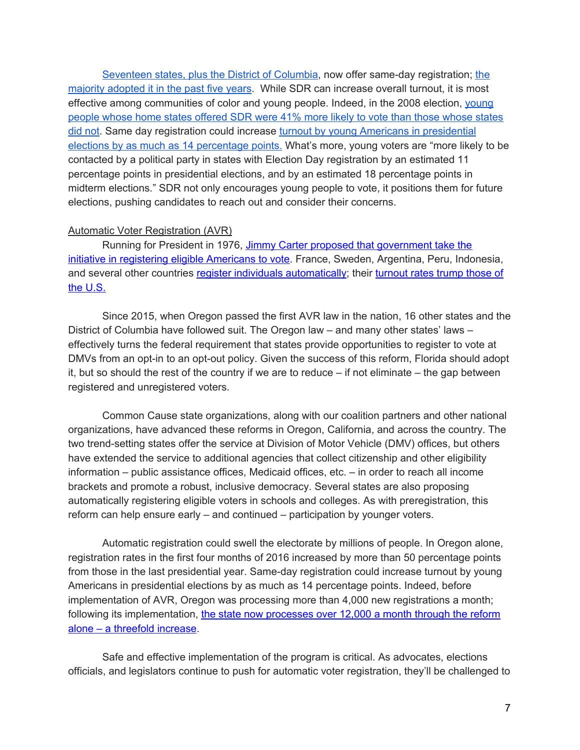[Seventeen](http://www.ncsl.org/research/elections-and-campaigns/same-day-registration.aspx) states, plus the District of Columbia, now offer same-day registration; [the](http://www.ncsl.org/research/elections-and-campaigns/same-day-registration.aspx) majority [adopted](http://www.ncsl.org/research/elections-and-campaigns/same-day-registration.aspx) it in the past five years. While SDR can increase overall turnout, it is most effective among communities of color and [young](http://civicyouth.org/PopUps/State_law_and_youth_turnout_USE_THIS_ONE-2.pdf) people. Indeed, in the 2008 election, young people whose home states [offered](http://civicyouth.org/PopUps/State_law_and_youth_turnout_USE_THIS_ONE-2.pdf) SDR were 41% more likely to vote than those whose states did [not](http://civicyouth.org/PopUps/State_law_and_youth_turnout_USE_THIS_ONE-2.pdf). Same day registration could increase turnout by young Americans in [presidential](http://www.civicyouth.org/PopUps/WorkingPapers/WP01Fitzgerald.pdf) elections by as much as 14 [percentage](http://www.civicyouth.org/PopUps/WorkingPapers/WP01Fitzgerald.pdf) points. What's more, young voters are "more likely to be contacted by a political party in states with Election Day registration by an estimated 11 percentage points in presidential elections, and by an estimated 18 percentage points in midterm elections." SDR not only encourages young people to vote, it positions them for future elections, pushing candidates to reach out and consider their concerns.

## Automatic Voter Registration (AVR)

Running for President in 1976, Jimmy Carter proposed that [government](https://www.thenation.com/article/how-automatic-voter-registration-can-transform-american-politics/) take the initiative in registering eligible [Americans](https://www.thenation.com/article/how-automatic-voter-registration-can-transform-american-politics/) to vote</u>. France, Sweden, Argentina, Peru, Indonesia, and several other countries register individuals [automatically;](http://democracyjournal.org/%20magazine/28/make-it-easy-the-case-for-automatic-registration/) their [turnout](https://thinkprogress.org/seven-voting-reforms-other-countries-have-used-to-boost-their-turnout-rate-87926709a576#.nzrcw91on) rates trump those of the [U.S.](https://thinkprogress.org/seven-voting-reforms-other-countries-have-used-to-boost-their-turnout-rate-87926709a576#.nzrcw91on)

Since 2015, when Oregon passed the first AVR law in the nation, 16 other states and the District of Columbia have followed suit. The Oregon law – and many other states' laws – effectively turns the federal requirement that states provide opportunities to register to vote at DMVs from an opt-in to an opt-out policy. Given the success of this reform, Florida should adopt it, but so should the rest of the country if we are to reduce  $-$  if not eliminate  $-$  the gap between registered and unregistered voters.

Common Cause state organizations, along with our coalition partners and other national organizations, have advanced these reforms in Oregon, California, and across the country. The two trend-setting states offer the service at Division of Motor Vehicle (DMV) offices, but others have extended the service to additional agencies that collect citizenship and other eligibility information – public assistance offices, Medicaid offices, etc. – in order to reach all income brackets and promote a robust, inclusive democracy. Several states are also proposing automatically registering eligible voters in schools and colleges. As with preregistration, this reform can help ensure early – and continued – participation by younger voters.

Automatic registration could swell the electorate by millions of people. In Oregon alone, registration rates in the first four months of 2016 increased by more than 50 percentage points from those in the last presidential year. Same-day registration could increase turnout by young Americans in presidential elections by as much as 14 percentage points. Indeed, before implementation of AVR, Oregon was processing more than 4,000 new registrations a month; following its implementation, the state now [processes](https://www.thenation.com/article/automatic-voter-registration-in-oregon-is-revolutionizing-american-democracy/) over 12,000 a month through the reform alone – a [threefold](https://www.thenation.com/article/automatic-voter-registration-in-oregon-is-revolutionizing-american-democracy/) increase.

Safe and effective implementation of the program is critical. As advocates, elections officials, and legislators continue to push for automatic voter registration, they'll be challenged to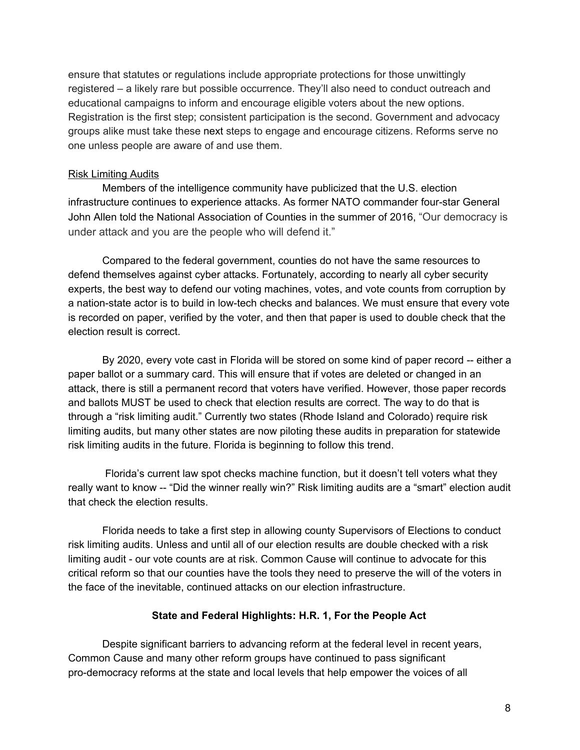ensure that statutes or regulations include appropriate protections for those unwittingly registered – a likely rare but possible occurrence. They'll also need to conduct outreach and educational campaigns to inform and encourage eligible voters about the new options. Registration is the first step; consistent participation is the second. Government and advocacy groups alike must take these next steps to engage and encourage citizens. Reforms serve no one unless people are aware of and use them.

# Risk Limiting Audits

Members of the intelligence community have publicized that the U.S. election infrastructure continues to experience attacks. As former NATO commander four-star General John Allen told the National Association of Counties in the summer of 2016, "Our democracy is under attack and you are the people who will defend it."

Compared to the federal government, counties do not have the same resources to defend themselves against cyber attacks. Fortunately, according to nearly all cyber security experts, the best way to defend our voting machines, votes, and vote counts from corruption by a nation-state actor is to build in low-tech checks and balances. We must ensure that every vote is recorded on paper, verified by the voter, and then that paper is used to double check that the election result is correct.

By 2020, every vote cast in Florida will be stored on some kind of paper record -- either a paper ballot or a summary card. This will ensure that if votes are deleted or changed in an attack, there is still a permanent record that voters have verified. However, those paper records and ballots MUST be used to check that election results are correct. The way to do that is through a "risk limiting audit." Currently two states (Rhode Island and Colorado) require risk limiting audits, but many other states are now piloting these audits in preparation for statewide risk limiting audits in the future. Florida is beginning to follow this trend.

Florida's current law spot checks machine function, but it doesn't tell voters what they really want to know -- "Did the winner really win?" Risk limiting audits are a "smart" election audit that check the election results.

Florida needs to take a first step in allowing county Supervisors of Elections to conduct risk limiting audits. Unless and until all of our election results are double checked with a risk limiting audit - our vote counts are at risk. Common Cause will continue to advocate for this critical reform so that our counties have the tools they need to preserve the will of the voters in the face of the inevitable, continued attacks on our election infrastructure.

## **State and Federal Highlights: H.R. 1, For the People Act**

Despite significant barriers to advancing reform at the federal level in recent years, Common Cause and many other reform groups have continued to pass significant pro-democracy reforms at the state and local levels that help empower the voices of all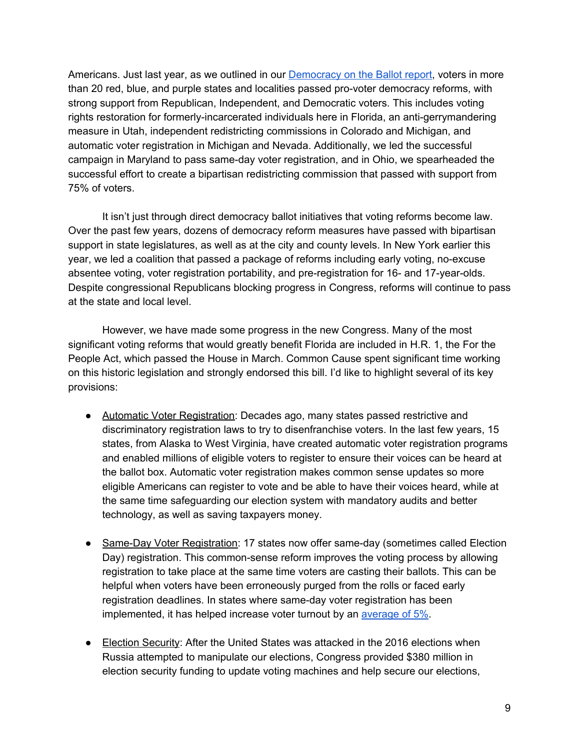Americans. Just last year, as we outlined in our [Democracy](https://www.commoncause.org/wp-content/uploads/2018/10/DemocracyonBallotWEB5.pdf) on the Ballot report, voters in more than 20 red, blue, and purple states and localities passed pro-voter democracy reforms, with strong support from Republican, Independent, and Democratic voters. This includes voting rights restoration for formerly-incarcerated individuals here in Florida, an anti-gerrymandering measure in Utah, independent redistricting commissions in Colorado and Michigan, and automatic voter registration in Michigan and Nevada. Additionally, we led the successful campaign in Maryland to pass same-day voter registration, and in Ohio, we spearheaded the successful effort to create a bipartisan redistricting commission that passed with support from 75% of voters.

It isn't just through direct democracy ballot initiatives that voting reforms become law. Over the past few years, dozens of democracy reform measures have passed with bipartisan support in state legislatures, as well as at the city and county levels. In New York earlier this year, we led a coalition that passed a package of reforms including early voting, no-excuse absentee voting, voter registration portability, and pre-registration for 16- and 17-year-olds. Despite congressional Republicans blocking progress in Congress, reforms will continue to pass at the state and local level.

However, we have made some progress in the new Congress. Many of the most significant voting reforms that would greatly benefit Florida are included in H.R. 1, the For the People Act, which passed the House in March. Common Cause spent significant time working on this historic legislation and strongly endorsed this bill. I'd like to highlight several of its key provisions:

- Automatic Voter Registration: Decades ago, many states passed restrictive and discriminatory registration laws to try to disenfranchise voters. In the last few years, 15 states, from Alaska to West Virginia, have created automatic voter registration programs and enabled millions of eligible voters to register to ensure their voices can be heard at the ballot box. Automatic voter registration makes common sense updates so more eligible Americans can register to vote and be able to have their voices heard, while at the same time safeguarding our election system with mandatory audits and better technology, as well as saving taxpayers money.
- Same-Day Voter Registration: 17 states now offer same-day (sometimes called Election Day) registration. This common-sense reform improves the voting process by allowing registration to take place at the same time voters are casting their ballots. This can be helpful when voters have been erroneously purged from the rolls or faced early registration deadlines. In states where same-day voter registration has been implemented, it has helped increase voter turnout by an [average](http://www.socsci.uci.edu/~bgrofman/18%20Brians-Grofman-Election%20day%20registration%27s%20effect.pdf) of 5%.
- Election Security: After the United States was attacked in the 2016 elections when Russia attempted to manipulate our elections, Congress provided \$380 million in election security funding to update voting machines and help secure our elections,